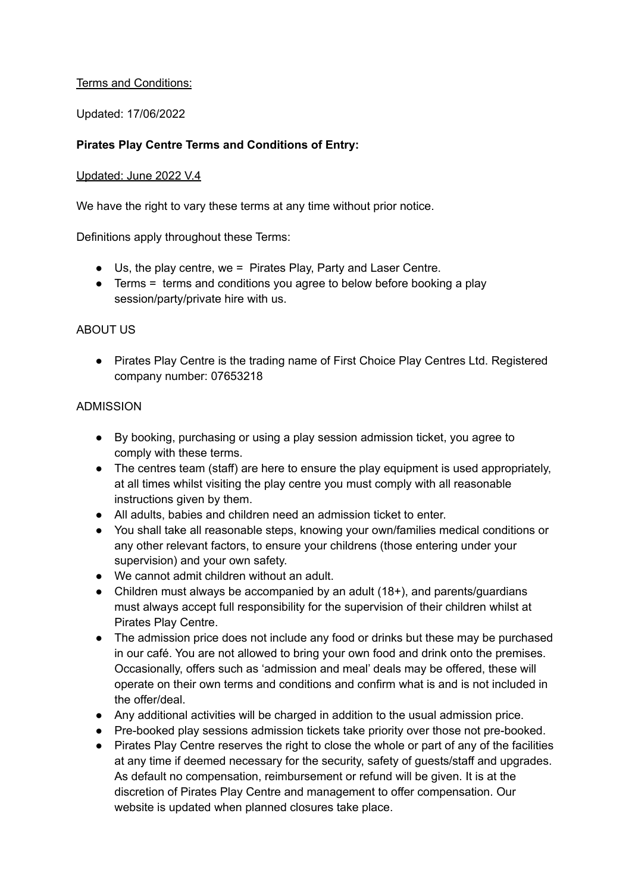### Terms and Conditions:

Updated: 17/06/2022

## **Pirates Play Centre Terms and Conditions of Entry:**

#### Updated: June 2022 V.4

We have the right to vary these terms at any time without prior notice.

Definitions apply throughout these Terms:

- Us, the play centre, we = Pirates Play, Party and Laser Centre.
- Terms = terms and conditions you agree to below before booking a play session/party/private hire with us.

### ABOUT US

● Pirates Play Centre is the trading name of First Choice Play Centres Ltd. Registered company number: 07653218

### ADMISSION

- By booking, purchasing or using a play session admission ticket, you agree to comply with these terms.
- The centres team (staff) are here to ensure the play equipment is used appropriately, at all times whilst visiting the play centre you must comply with all reasonable instructions given by them.
- All adults, babies and children need an admission ticket to enter.
- You shall take all reasonable steps, knowing your own/families medical conditions or any other relevant factors, to ensure your childrens (those entering under your supervision) and your own safety.
- We cannot admit children without an adult.
- Children must always be accompanied by an adult (18+), and parents/guardians must always accept full responsibility for the supervision of their children whilst at Pirates Play Centre.
- The admission price does not include any food or drinks but these may be purchased in our café. You are not allowed to bring your own food and drink onto the premises. Occasionally, offers such as 'admission and meal' deals may be offered, these will operate on their own terms and conditions and confirm what is and is not included in the offer/deal.
- Any additional activities will be charged in addition to the usual admission price.
- Pre-booked play sessions admission tickets take priority over those not pre-booked.
- Pirates Play Centre reserves the right to close the whole or part of any of the facilities at any time if deemed necessary for the security, safety of guests/staff and upgrades. As default no compensation, reimbursement or refund will be given. It is at the discretion of Pirates Play Centre and management to offer compensation. Our website is updated when planned closures take place.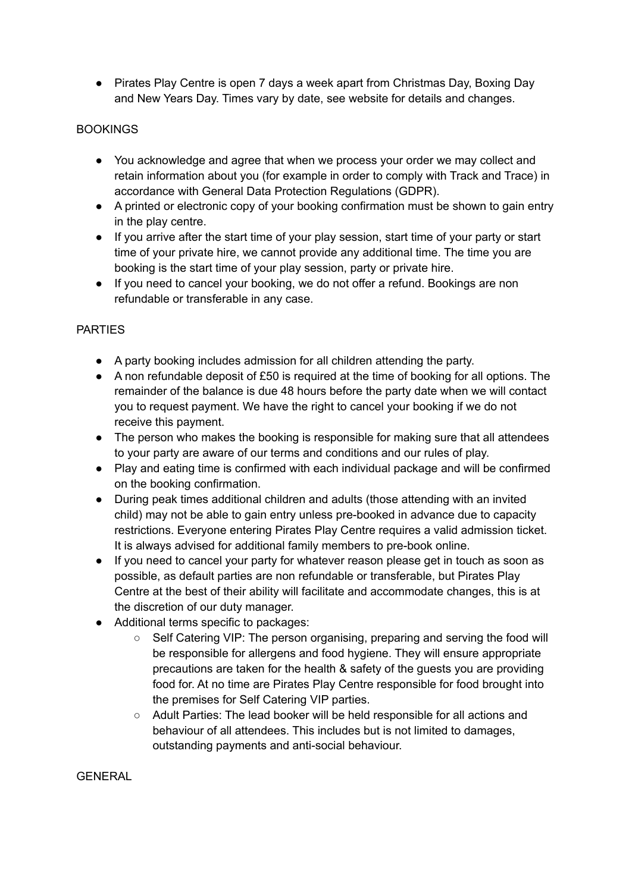● Pirates Play Centre is open 7 days a week apart from Christmas Day, Boxing Day and New Years Day. Times vary by date, see website for details and changes.

# BOOKINGS

- You acknowledge and agree that when we process your order we may collect and retain information about you (for example in order to comply with Track and Trace) in accordance with General Data Protection Regulations (GDPR).
- A printed or electronic copy of your booking confirmation must be shown to gain entry in the play centre.
- If you arrive after the start time of your play session, start time of your party or start time of your private hire, we cannot provide any additional time. The time you are booking is the start time of your play session, party or private hire.
- If you need to cancel your booking, we do not offer a refund. Bookings are non refundable or transferable in any case.

## PARTIES

- A party booking includes admission for all children attending the party.
- A non refundable deposit of £50 is required at the time of booking for all options. The remainder of the balance is due 48 hours before the party date when we will contact you to request payment. We have the right to cancel your booking if we do not receive this payment.
- The person who makes the booking is responsible for making sure that all attendees to your party are aware of our terms and conditions and our rules of play.
- Play and eating time is confirmed with each individual package and will be confirmed on the booking confirmation.
- During peak times additional children and adults (those attending with an invited child) may not be able to gain entry unless pre-booked in advance due to capacity restrictions. Everyone entering Pirates Play Centre requires a valid admission ticket. It is always advised for additional family members to pre-book online.
- If you need to cancel your party for whatever reason please get in touch as soon as possible, as default parties are non refundable or transferable, but Pirates Play Centre at the best of their ability will facilitate and accommodate changes, this is at the discretion of our duty manager.
- Additional terms specific to packages:
	- Self Catering VIP: The person organising, preparing and serving the food will be responsible for allergens and food hygiene. They will ensure appropriate precautions are taken for the health & safety of the guests you are providing food for. At no time are Pirates Play Centre responsible for food brought into the premises for Self Catering VIP parties.
	- Adult Parties: The lead booker will be held responsible for all actions and behaviour of all attendees. This includes but is not limited to damages, outstanding payments and anti-social behaviour.

**GENERAL**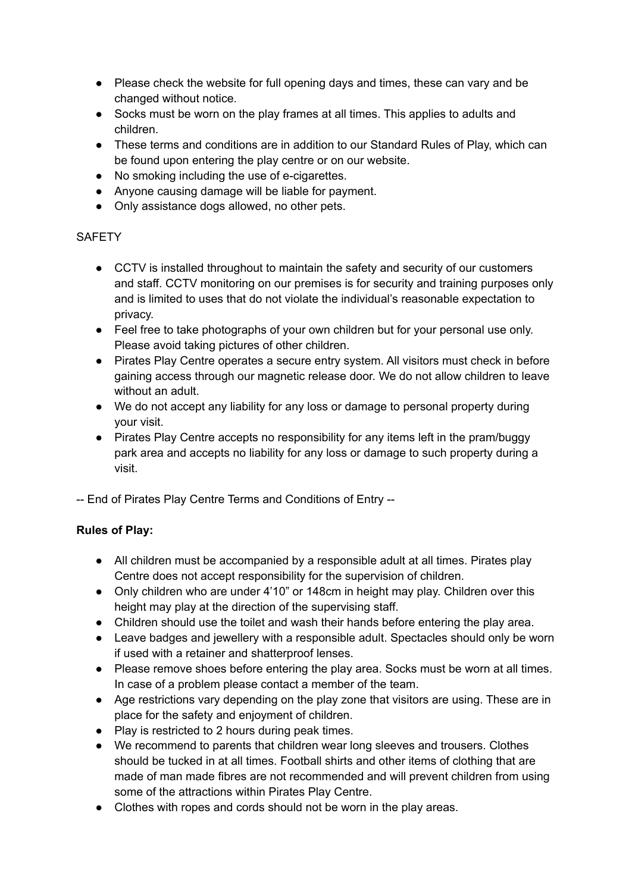- Please check the website for full opening days and times, these can vary and be changed without notice.
- Socks must be worn on the play frames at all times. This applies to adults and children.
- These terms and conditions are in addition to our Standard Rules of Play, which can be found upon entering the play centre or on our website.
- No smoking including the use of e-cigarettes.
- Anyone causing damage will be liable for payment.
- Only assistance dogs allowed, no other pets.

## **SAFETY**

- CCTV is installed throughout to maintain the safety and security of our customers and staff. CCTV monitoring on our premises is for security and training purposes only and is limited to uses that do not violate the individual's reasonable expectation to privacy.
- Feel free to take photographs of your own children but for your personal use only. Please avoid taking pictures of other children.
- Pirates Play Centre operates a secure entry system. All visitors must check in before gaining access through our magnetic release door. We do not allow children to leave without an adult.
- We do not accept any liability for any loss or damage to personal property during your visit.
- Pirates Play Centre accepts no responsibility for any items left in the pram/buggy park area and accepts no liability for any loss or damage to such property during a visit.
- -- End of Pirates Play Centre Terms and Conditions of Entry --

# **Rules of Play:**

- All children must be accompanied by a responsible adult at all times. Pirates play Centre does not accept responsibility for the supervision of children.
- Only children who are under 4'10" or 148cm in height may play. Children over this height may play at the direction of the supervising staff.
- Children should use the toilet and wash their hands before entering the play area.
- Leave badges and jewellery with a responsible adult. Spectacles should only be worn if used with a retainer and shatterproof lenses.
- Please remove shoes before entering the play area. Socks must be worn at all times. In case of a problem please contact a member of the team.
- Age restrictions vary depending on the play zone that visitors are using. These are in place for the safety and enjoyment of children.
- Play is restricted to 2 hours during peak times.
- We recommend to parents that children wear long sleeves and trousers. Clothes should be tucked in at all times. Football shirts and other items of clothing that are made of man made fibres are not recommended and will prevent children from using some of the attractions within Pirates Play Centre.
- Clothes with ropes and cords should not be worn in the play areas.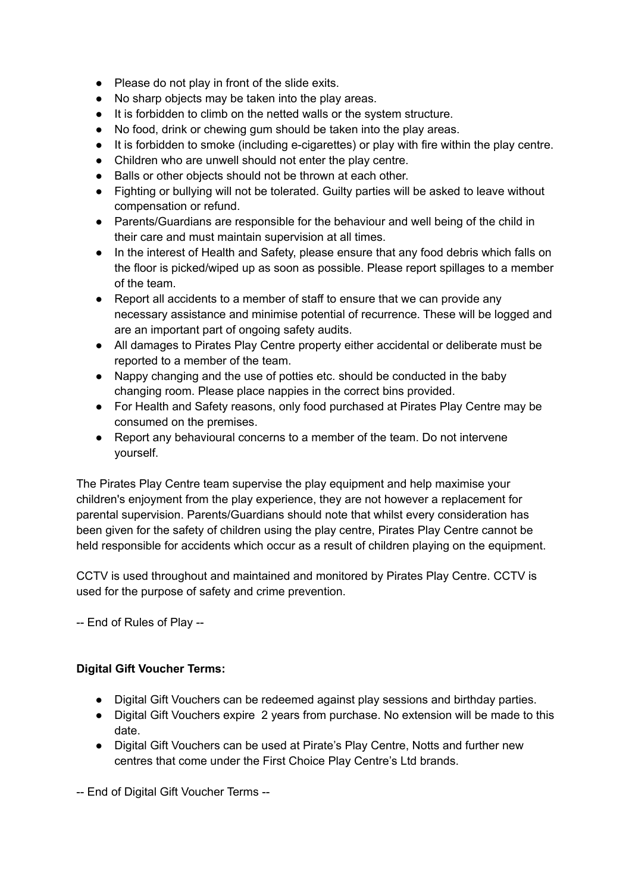- Please do not play in front of the slide exits.
- No sharp objects may be taken into the play areas.
- It is forbidden to climb on the netted walls or the system structure.
- No food, drink or chewing gum should be taken into the play areas.
- It is forbidden to smoke (including e-cigarettes) or play with fire within the play centre.
- Children who are unwell should not enter the play centre.
- Balls or other objects should not be thrown at each other.
- Fighting or bullying will not be tolerated. Guilty parties will be asked to leave without compensation or refund.
- Parents/Guardians are responsible for the behaviour and well being of the child in their care and must maintain supervision at all times.
- In the interest of Health and Safety, please ensure that any food debris which falls on the floor is picked/wiped up as soon as possible. Please report spillages to a member of the team.
- Report all accidents to a member of staff to ensure that we can provide any necessary assistance and minimise potential of recurrence. These will be logged and are an important part of ongoing safety audits.
- All damages to Pirates Play Centre property either accidental or deliberate must be reported to a member of the team.
- Nappy changing and the use of potties etc. should be conducted in the baby changing room. Please place nappies in the correct bins provided.
- For Health and Safety reasons, only food purchased at Pirates Play Centre may be consumed on the premises.
- Report any behavioural concerns to a member of the team. Do not intervene yourself.

The Pirates Play Centre team supervise the play equipment and help maximise your children's enjoyment from the play experience, they are not however a replacement for parental supervision. Parents/Guardians should note that whilst every consideration has been given for the safety of children using the play centre, Pirates Play Centre cannot be held responsible for accidents which occur as a result of children playing on the equipment.

CCTV is used throughout and maintained and monitored by Pirates Play Centre. CCTV is used for the purpose of safety and crime prevention.

-- End of Rules of Play --

## **Digital Gift Voucher Terms:**

- Digital Gift Vouchers can be redeemed against play sessions and birthday parties.
- Digital Gift Vouchers expire 2 years from purchase. No extension will be made to this date.
- Digital Gift Vouchers can be used at Pirate's Play Centre, Notts and further new centres that come under the First Choice Play Centre's Ltd brands.

-- End of Digital Gift Voucher Terms --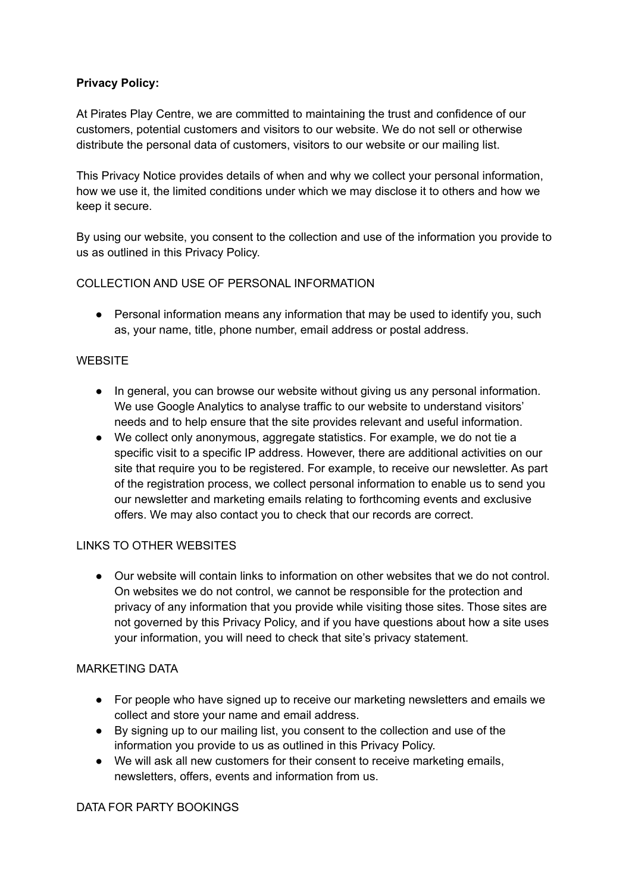## **Privacy Policy:**

At Pirates Play Centre, we are committed to maintaining the trust and confidence of our customers, potential customers and visitors to our website. We do not sell or otherwise distribute the personal data of customers, visitors to our website or our mailing list.

This Privacy Notice provides details of when and why we collect your personal information, how we use it, the limited conditions under which we may disclose it to others and how we keep it secure.

By using our website, you consent to the collection and use of the information you provide to us as outlined in this Privacy Policy.

### COLLECTION AND USE OF PERSONAL INFORMATION

• Personal information means any information that may be used to identify you, such as, your name, title, phone number, email address or postal address.

### **WEBSITE**

- In general, you can browse our website without giving us any personal information. We use Google Analytics to analyse traffic to our website to understand visitors' needs and to help ensure that the site provides relevant and useful information.
- We collect only anonymous, aggregate statistics. For example, we do not tie a specific visit to a specific IP address. However, there are additional activities on our site that require you to be registered. For example, to receive our newsletter. As part of the registration process, we collect personal information to enable us to send you our newsletter and marketing emails relating to forthcoming events and exclusive offers. We may also contact you to check that our records are correct.

#### LINKS TO OTHER WEBSITES

● Our website will contain links to information on other websites that we do not control. On websites we do not control, we cannot be responsible for the protection and privacy of any information that you provide while visiting those sites. Those sites are not governed by this Privacy Policy, and if you have questions about how a site uses your information, you will need to check that site's privacy statement.

### MARKETING DATA

- For people who have signed up to receive our marketing newsletters and emails we collect and store your name and email address.
- By signing up to our mailing list, you consent to the collection and use of the information you provide to us as outlined in this Privacy Policy.
- We will ask all new customers for their consent to receive marketing emails, newsletters, offers, events and information from us.

## DATA FOR PARTY BOOKINGS